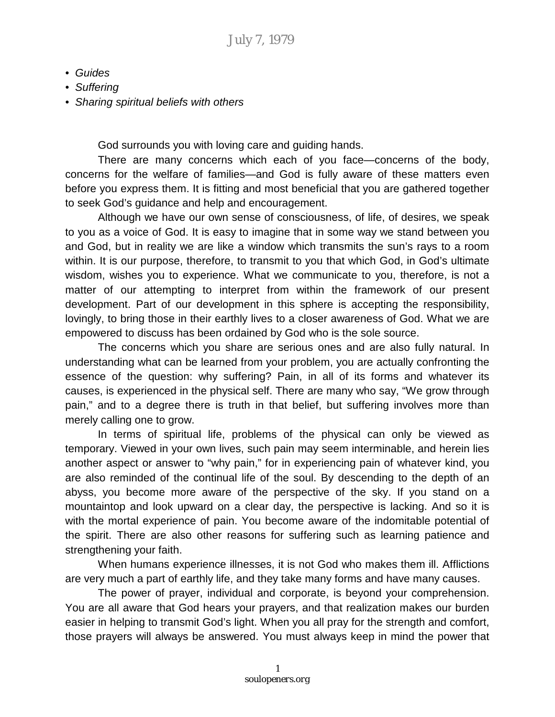- *Guides*
- *Suffering*
- *• Sharing spiritual beliefs with others*

God surrounds you with loving care and guiding hands.

There are many concerns which each of you face—concerns of the body, concerns for the welfare of families—and God is fully aware of these matters even before you express them. It is fitting and most beneficial that you are gathered together to seek God's guidance and help and encouragement.

Although we have our own sense of consciousness, of life, of desires, we speak to you as a voice of God. It is easy to imagine that in some way we stand between you and God, but in reality we are like a window which transmits the sun's rays to a room within. It is our purpose, therefore, to transmit to you that which God, in God's ultimate wisdom, wishes you to experience. What we communicate to you, therefore, is not a matter of our attempting to interpret from within the framework of our present development. Part of our development in this sphere is accepting the responsibility, lovingly, to bring those in their earthly lives to a closer awareness of God. What we are empowered to discuss has been ordained by God who is the sole source.

The concerns which you share are serious ones and are also fully natural. In understanding what can be learned from your problem, you are actually confronting the essence of the question: why suffering? Pain, in all of its forms and whatever its causes, is experienced in the physical self. There are many who say, "We grow through pain," and to a degree there is truth in that belief, but suffering involves more than merely calling one to grow.

In terms of spiritual life, problems of the physical can only be viewed as temporary. Viewed in your own lives, such pain may seem interminable, and herein lies another aspect or answer to "why pain," for in experiencing pain of whatever kind, you are also reminded of the continual life of the soul. By descending to the depth of an abyss, you become more aware of the perspective of the sky. If you stand on a mountaintop and look upward on a clear day, the perspective is lacking. And so it is with the mortal experience of pain. You become aware of the indomitable potential of the spirit. There are also other reasons for suffering such as learning patience and strengthening your faith.

When humans experience illnesses, it is not God who makes them ill. Afflictions are very much a part of earthly life, and they take many forms and have many causes.

The power of prayer, individual and corporate, is beyond your comprehension. You are all aware that God hears your prayers, and that realization makes our burden easier in helping to transmit God's light. When you all pray for the strength and comfort, those prayers will always be answered. You must always keep in mind the power that